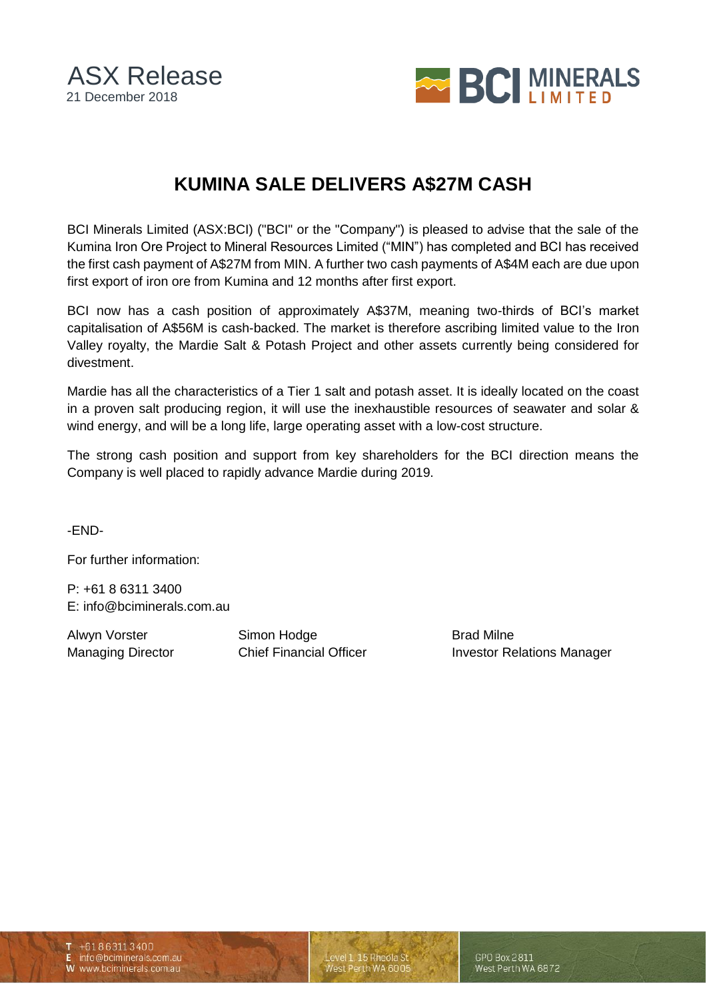ASX Release 21 December 2018



## **KUMINA SALE DELIVERS A\$27M CASH**

BCI Minerals Limited (ASX:BCI) ("BCI" or the "Company") is pleased to advise that the sale of the Kumina Iron Ore Project to Mineral Resources Limited ("MIN") has completed and BCI has received the first cash payment of A\$27M from MIN. A further two cash payments of A\$4M each are due upon first export of iron ore from Kumina and 12 months after first export.

BCI now has a cash position of approximately A\$37M, meaning two-thirds of BCI's market capitalisation of A\$56M is cash-backed. The market is therefore ascribing limited value to the Iron Valley royalty, the Mardie Salt & Potash Project and other assets currently being considered for divestment.

Mardie has all the characteristics of a Tier 1 salt and potash asset. It is ideally located on the coast in a proven salt producing region, it will use the inexhaustible resources of seawater and solar & wind energy, and will be a long life, large operating asset with a low-cost structure.

The strong cash position and support from key shareholders for the BCI direction means the Company is well placed to rapidly advance Mardie during 2019.

-END-

For further information:

P: +61 8 6311 3400 E: info@bciminerals.com.au

Alwyn Vorster **Simon Hodge** Brad Milne

Managing Director **Chief Financial Officer** Investor Relations Manager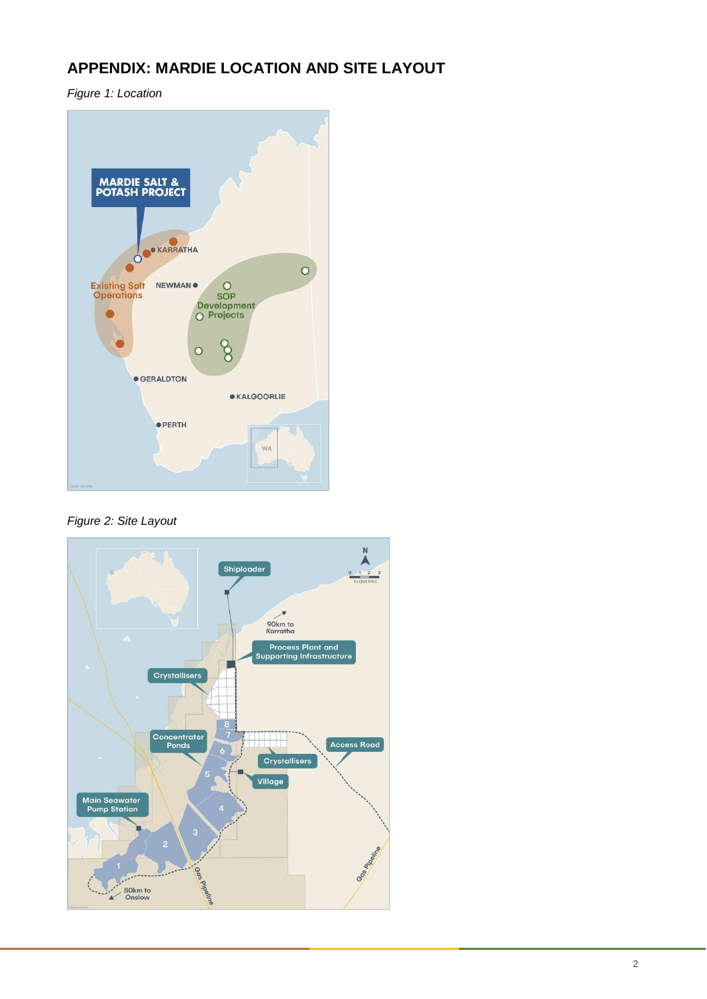## **APPENDIX: MARDIE LOCATION AND SITE LAYOUT**

*Figure 1: Location*



*Figure 2: Site Layout*